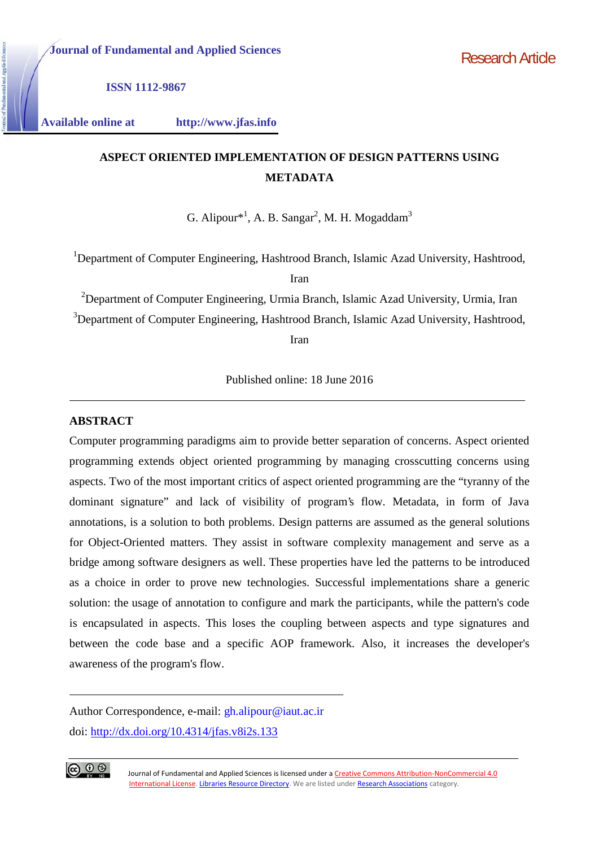**ISSN 1112-9867**

**Available online at http://www.jfas.info**

# **ASPECT ORIENTED IMPLEMENTATION OF DESIGN PATTERNS USING METADATA**

G. Alipour $*^1$ , A. B. Sangar<sup>2</sup>, M. H. Mogaddam<sup>3</sup>

<sup>1</sup>Department of Computer Engineering, Hashtrood Branch, Islamic Azad University, Hashtrood,

Iran

<sup>2</sup>Department of Computer Engineering, Urmia Branch, Islamic Azad University, Urmia, Iran <sup>3</sup>Department of Computer Engineering, Hashtrood Branch, Islamic Azad University, Hashtrood,

Iran

Published online: 18 June 2016

#### **ABSTRACT**

Computer programming paradigms aim to provide better separation of concerns. Aspect oriented programming extends object oriented programming by managing crosscutting concerns using aspects. Two of the most important critics of aspect oriented programming are the "tyranny of the dominant signature" and lack of visibility of program's flow. Metadata, in form of Java annotations, is a solution to both problems. Design patterns are assumed as the general solutions for Object-Oriented matters. They assist in software complexity management and serve as a bridge among software designers as well. These properties have led the patterns to be introduced as a choice in order to prove new technologies. Successful implementations share a generic solution: the usage of annotation to configure and mark the participants, while the pattern's code is encapsulated in aspects. This loses the coupling between aspects and type signatures and between the code base and a specific AOP framework. Also, it increases the developer's awareness of the program's flow.

Author Correspondence, e-mail: gh.alipour@iaut.ac.ir doi: http://dx.doi.org/10.4314/jfas.v8i2s.133

> Journal of Fundamental and Applied Sciences is licensed under a Creative Commons Attribution-NonCommercial 4.0 International License. Libraries Resource Directory. We are listed under Research Associations category.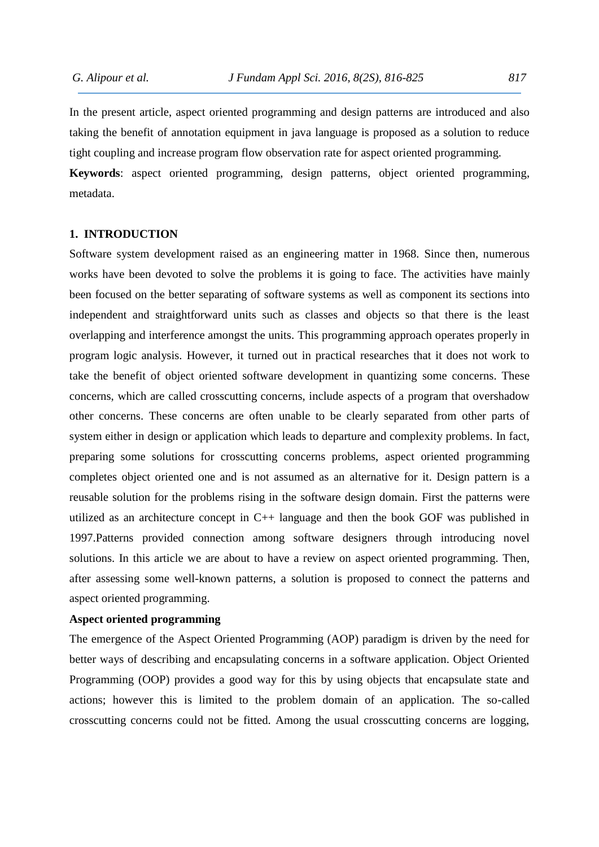In the present article, aspect oriented programming and design patterns are introduced and also taking the benefit of annotation equipment in java language is proposed as a solution to reduce tight coupling and increase program flow observation rate for aspect oriented programming.

**Keywords**: aspect oriented programming, design patterns, object oriented programming, metadata.

#### **1. INTRODUCTION**

Software system development raised as an engineering matter in 1968. Since then, numerous works have been devoted to solve the problems it is going to face. The activities have mainly been focused on the better separating of software systems as well as component its sections into independent and straightforward units such as classes and objects so that there is the least overlapping and interference amongst the units. This programming approach operates properly in program logic analysis. However, it turned out in practical researches that it does not work to take the benefit of object oriented software development in quantizing some concerns. These concerns, which are called crosscutting concerns, include aspects of a program that overshadow other concerns. These concerns are often unable to be clearly separated from other parts of system either in design or application which leads to departure and complexity problems. In fact, preparing some solutions for crosscutting concerns problems, aspect oriented programming completes object oriented one and is not assumed as an alternative for it. Design pattern is a reusable solution for the problems rising in the software design domain. First the patterns were utilized as an architecture concept in C++ language and then the book GOF was published in 1997.Patterns provided connection among software designers through introducing novel solutions. In this article we are about to have a review on aspect oriented programming. Then, after assessing some well-known patterns, a solution is proposed to connect the patterns and aspect oriented programming.

### **Aspect oriented programming**

The emergence of the Aspect Oriented Programming (AOP) paradigm is driven by the need for better ways of describing and encapsulating concerns in a software application. Object Oriented Programming (OOP) provides a good way for this by using objects that encapsulate state and actions; however this is limited to the problem domain of an application. The so-called crosscutting concerns could not be fitted. Among the usual crosscutting concerns are logging,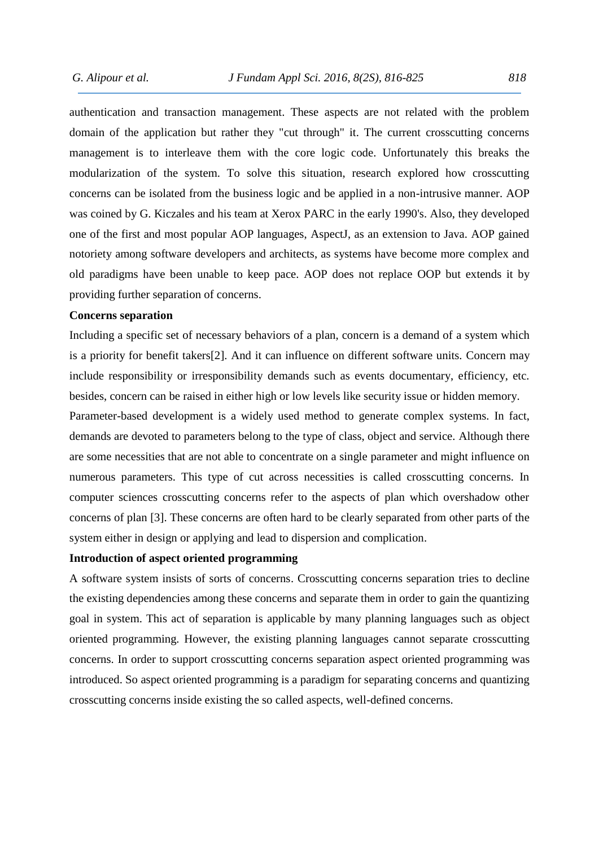authentication and transaction management. These aspects are not related with the problem domain of the application but rather they "cut through" it. The current crosscutting concerns management is to interleave them with the core logic code. Unfortunately this breaks the modularization of the system. To solve this situation, research explored how crosscutting concerns can be isolated from the business logic and be applied in a non-intrusive manner. AOP was coined by G. Kiczales and his team at Xerox PARC in the early 1990's. Also, they developed one of the first and most popular AOP languages, AspectJ, as an extension to Java. AOP gained notoriety among software developers and architects, as systems have become more complex and old paradigms have been unable to keep pace. AOP does not replace OOP but extends it by providing further separation of concerns.

#### **Concerns separation**

Including a specific set of necessary behaviors of a plan, concern is a demand of a system which is a priority for benefit takers[2]. And it can influence on different software units. Concern may include responsibility or irresponsibility demands such as events documentary, efficiency, etc. besides, concern can be raised in either high or low levels like security issue or hidden memory.

Parameter-based development is a widely used method to generate complex systems. In fact, demands are devoted to parameters belong to the type of class, object and service. Although there are some necessities that are not able to concentrate on a single parameter and might influence on numerous parameters. This type of cut across necessities is called crosscutting concerns. In computer sciences crosscutting concerns refer to the aspects of plan which overshadow other concerns of plan [3]. These concerns are often hard to be clearly separated from other parts of the system either in design or applying and lead to dispersion and complication.

#### **Introduction of aspect oriented programming**

A software system insists of sorts of concerns. Crosscutting concerns separation tries to decline the existing dependencies among these concerns and separate them in order to gain the quantizing goal in system. This act of separation is applicable by many planning languages such as object oriented programming. However, the existing planning languages cannot separate crosscutting concerns. In order to support crosscutting concerns separation aspect oriented programming was introduced. So aspect oriented programming is a paradigm for separating concerns and quantizing crosscutting concerns inside existing the so called aspects, well-defined concerns.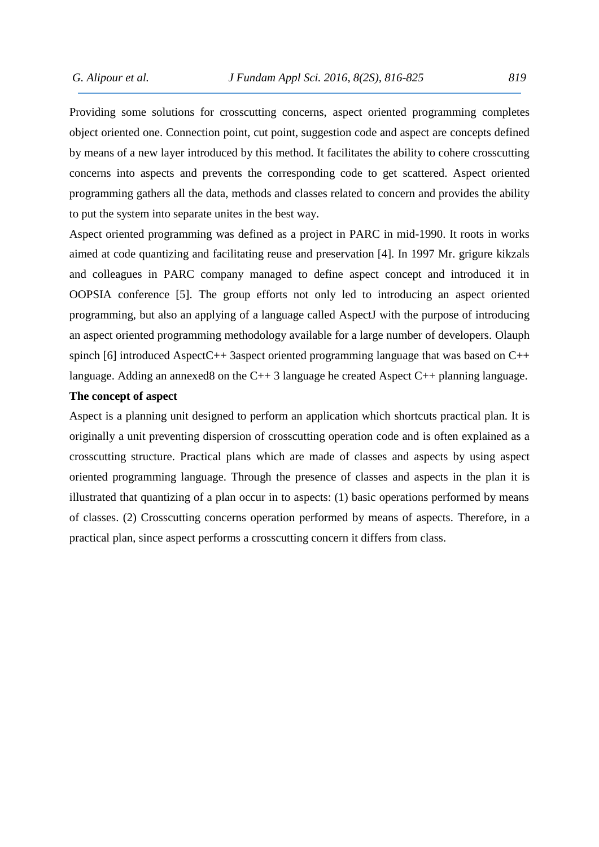Providing some solutions for crosscutting concerns, aspect oriented programming completes object oriented one. Connection point, cut point, suggestion code and aspect are concepts defined by means of a new layer introduced by this method. It facilitates the ability to cohere crosscutting concerns into aspects and prevents the corresponding code to get scattered. Aspect oriented programming gathers all the data, methods and classes related to concern and provides the ability to put the system into separate unites in the best way.

Aspect oriented programming was defined as a project in PARC in mid-1990. It roots in works aimed at code quantizing and facilitating reuse and preservation [4]. In 1997 Mr. grigure kikzals and colleagues in PARC company managed to define aspect concept and introduced it in OOPSIA conference [5]. The group efforts not only led to introducing an aspect oriented programming, but also an applying of a language called AspectJ with the purpose of introducing an aspect oriented programming methodology available for a large number of developers. Olauph spinch [6] introduced AspectC++ 3aspect oriented programming language that was based on  $C_{++}$ language. Adding an annexed8 on the  $C_{++}$  3 language he created Aspect  $C_{++}$  planning language.

# **The concept of aspect**

Aspect is a planning unit designed to perform an application which shortcuts practical plan. It is originally a unit preventing dispersion of crosscutting operation code and is often explained as a crosscutting structure. Practical plans which are made of classes and aspects by using aspect oriented programming language. Through the presence of classes and aspects in the plan it is illustrated that quantizing of a plan occur in to aspects: (1) basic operations performed by means of classes. (2) Crosscutting concerns operation performed by means of aspects. Therefore, in a practical plan, since aspect performs a crosscutting concern it differs from class.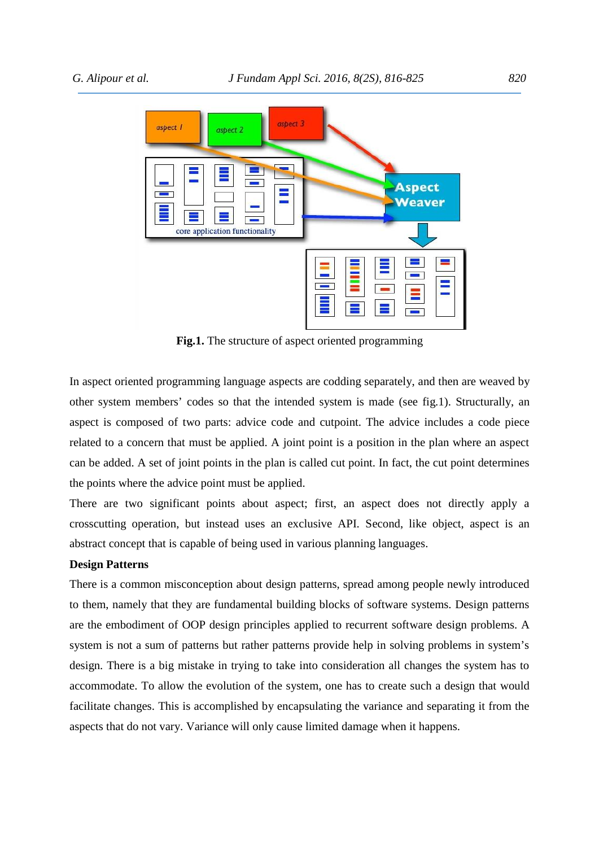

**Fig.1.** The structure of aspect oriented programming

In aspect oriented programming language aspects are codding separately, and then are weaved by other system members' codes so that the intended system is made (see fig.1). Structurally, an aspect is composed of two parts: advice code and cutpoint. The advice includes a code piece related to a concern that must be applied. A joint point is a position in the plan where an aspect can be added. A set of joint points in the plan is called cut point. In fact, the cut point determines the points where the advice point must be applied.

There are two significant points about aspect; first, an aspect does not directly apply a crosscutting operation, but instead uses an exclusive API. Second, like object, aspect is an abstract concept that is capable of being used in various planning languages.

#### **Design Patterns**

There is a common misconception about design patterns, spread among people newly introduced to them, namely that they are fundamental building blocks of software systems. Design patterns are the embodiment of OOP design principles applied to recurrent software design problems. A system is not a sum of patterns but rather patterns provide help in solving problems in system's design. There is a big mistake in trying to take into consideration all changes the system has to accommodate. To allow the evolution of the system, one has to create such a design that would facilitate changes. This is accomplished by encapsulating the variance and separating it from the aspects that do not vary. Variance will only cause limited damage when it happens.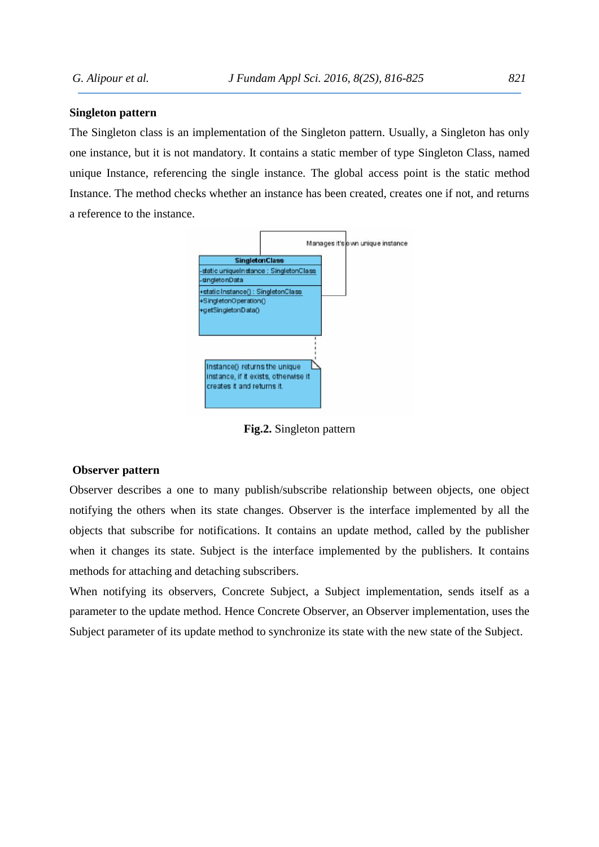#### **Singleton pattern**

The Singleton class is an implementation of the Singleton pattern. Usually, a Singleton has only one instance, but it is not mandatory. It contains a static member of type Singleton Class, named unique Instance, referencing the single instance. The global access point is the static method Instance. The method checks whether an instance has been created, creates one if not, and returns a reference to the instance.



**Fig.2.** Singleton pattern

#### **Observer pattern**

Observer describes a one to many publish/subscribe relationship between objects, one object notifying the others when its state changes. Observer is the interface implemented by all the objects that subscribe for notifications. It contains an update method, called by the publisher when it changes its state. Subject is the interface implemented by the publishers. It contains methods for attaching and detaching subscribers.

When notifying its observers, Concrete Subject, a Subject implementation, sends itself as a parameter to the update method. Hence Concrete Observer, an Observer implementation, uses the Subject parameter of its update method to synchronize its state with the new state of the Subject.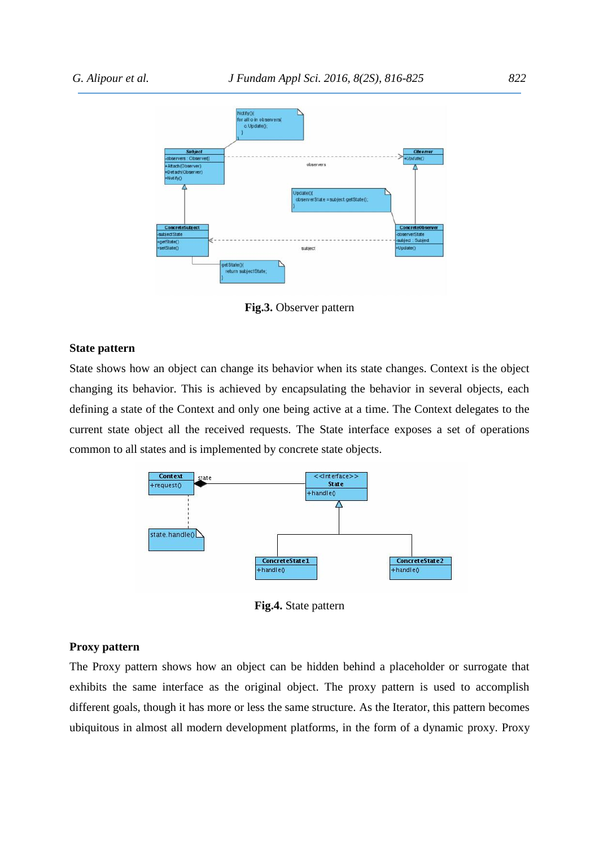

**Fig.3.** Observer pattern

# **State pattern**

State shows how an object can change its behavior when its state changes. Context is the object changing its behavior. This is achieved by encapsulating the behavior in several objects, each defining a state of the Context and only one being active at a time. The Context delegates to the current state object all the received requests. The State interface exposes a set of operations common to all states and is implemented by concrete state objects.



**Fig.4.** State pattern

#### **Proxy pattern**

The Proxy pattern shows how an object can be hidden behind a placeholder or surrogate that exhibits the same interface as the original object. The proxy pattern is used to accomplish different goals, though it has more or less the same structure. As the Iterator, this pattern becomes ubiquitous in almost all modern development platforms, in the form of a dynamic proxy. Proxy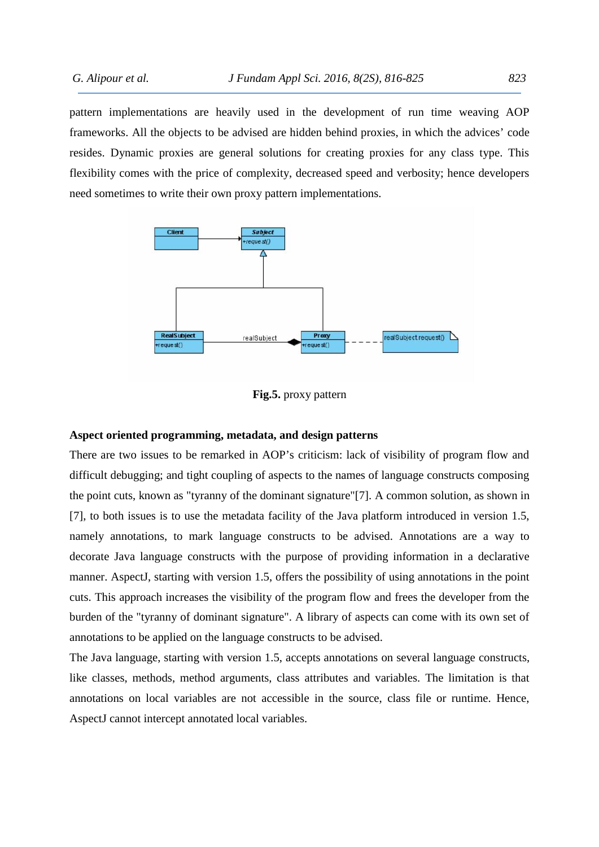pattern implementations are heavily used in the development of run time weaving AOP frameworks. All the objects to be advised are hidden behind proxies, in which the advices' code resides. Dynamic proxies are general solutions for creating proxies for any class type. This flexibility comes with the price of complexity, decreased speed and verbosity; hence developers need sometimes to write their own proxy pattern implementations.



**Fig.5.** proxy pattern

### **Aspect oriented programming, metadata, and design patterns**

There are two issues to be remarked in AOP's criticism: lack of visibility of program flow and difficult debugging; and tight coupling of aspects to the names of language constructs composing the point cuts, known as "tyranny of the dominant signature"[7]. A common solution, as shown in [7], to both issues is to use the metadata facility of the Java platform introduced in version 1.5, namely annotations, to mark language constructs to be advised. Annotations are a way to decorate Java language constructs with the purpose of providing information in a declarative manner. AspectJ, starting with version 1.5, offers the possibility of using annotations in the point cuts. This approach increases the visibility of the program flow and frees the developer from the burden of the "tyranny of dominant signature". A library of aspects can come with its own set of annotations to be applied on the language constructs to be advised.

The Java language, starting with version 1.5, accepts annotations on several language constructs, like classes, methods, method arguments, class attributes and variables. The limitation is that annotations on local variables are not accessible in the source, class file or runtime. Hence, AspectJ cannot intercept annotated local variables.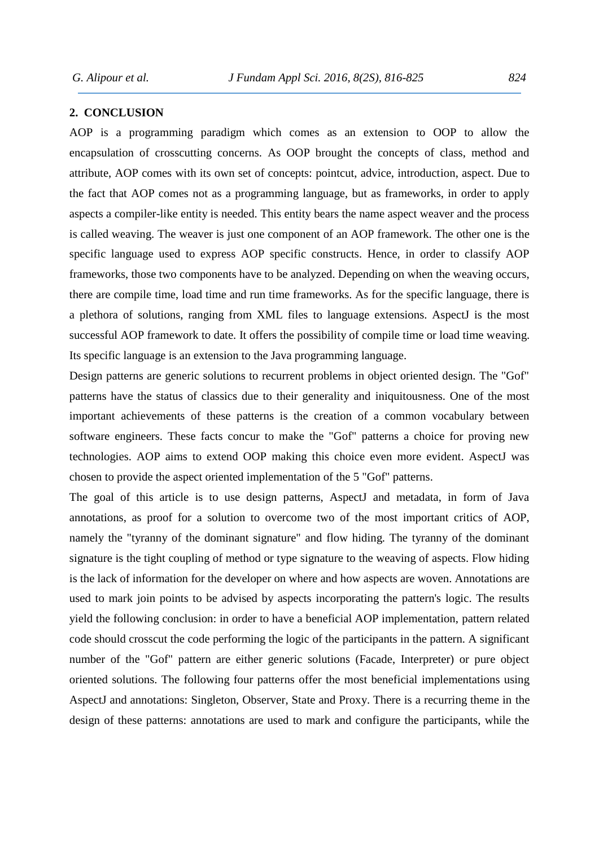#### **2. CONCLUSION**

AOP is a programming paradigm which comes as an extension to OOP to allow the encapsulation of crosscutting concerns. As OOP brought the concepts of class, method and attribute, AOP comes with its own set of concepts: pointcut, advice, introduction, aspect. Due to the fact that AOP comes not as a programming language, but as frameworks, in order to apply aspects a compiler-like entity is needed. This entity bears the name aspect weaver and the process is called weaving. The weaver is just one component of an AOP framework. The other one is the specific language used to express AOP specific constructs. Hence, in order to classify AOP frameworks, those two components have to be analyzed. Depending on when the weaving occurs, there are compile time, load time and run time frameworks. As for the specific language, there is a plethora of solutions, ranging from XML files to language extensions. AspectJ is the most successful AOP framework to date. It offers the possibility of compile time or load time weaving. Its specific language is an extension to the Java programming language.

Design patterns are generic solutions to recurrent problems in object oriented design. The "Gof" patterns have the status of classics due to their generality and iniquitousness. One of the most important achievements of these patterns is the creation of a common vocabulary between software engineers. These facts concur to make the "Gof" patterns a choice for proving new technologies. AOP aims to extend OOP making this choice even more evident. AspectJ was chosen to provide the aspect oriented implementation of the 5 "Gof" patterns.

The goal of this article is to use design patterns, AspectJ and metadata, in form of Java annotations, as proof for a solution to overcome two of the most important critics of AOP, namely the "tyranny of the dominant signature" and flow hiding. The tyranny of the dominant signature is the tight coupling of method or type signature to the weaving of aspects. Flow hiding is the lack of information for the developer on where and how aspects are woven. Annotations are used to mark join points to be advised by aspects incorporating the pattern's logic. The results yield the following conclusion: in order to have a beneficial AOP implementation, pattern related code should crosscut the code performing the logic of the participants in the pattern. A significant number of the "Gof" pattern are either generic solutions (Facade, Interpreter) or pure object oriented solutions. The following four patterns offer the most beneficial implementations using AspectJ and annotations: Singleton, Observer, State and Proxy. There is a recurring theme in the design of these patterns: annotations are used to mark and configure the participants, while the